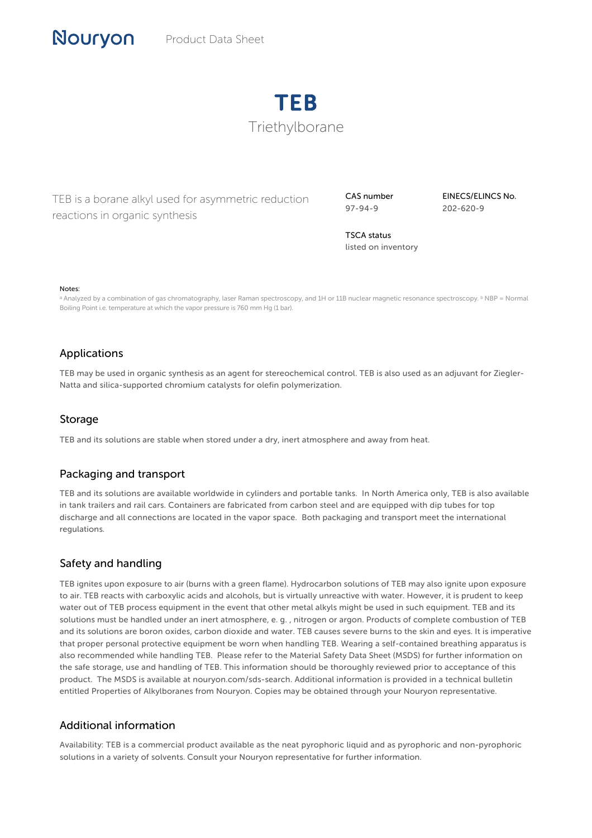

TEB is a borane alkyl used for asymmetric reduction reactions in organic synthesis

CAS number 97-94-9

EINECS/ELINCS No. 202-620-9

TSCA status listed on inventory

#### Notes:

a Analyzed by a combination of gas chromatography, laser Raman spectroscopy, and 1H or 11B nuclear magnetic resonance spectroscopy. <sup>b</sup> NBP = Normal Boiling Point i.e. temperature at which the vapor pressure is 760 mm Hg (1 bar).

### Applications

TEB may be used in organic synthesis as an agent for stereochemical control. TEB is also used as an adjuvant for Ziegler-Natta and silica-supported chromium catalysts for olefin polymerization.

#### Storage

TEB and its solutions are stable when stored under a dry, inert atmosphere and away from heat.

#### Packaging and transport

TEB and its solutions are available worldwide in cylinders and portable tanks. In North America only, TEB is also available in tank trailers and rail cars. Containers are fabricated from carbon steel and are equipped with dip tubes for top discharge and all connections are located in the vapor space. Both packaging and transport meet the international regulations.

## Safety and handling

TEB ignites upon exposure to air (burns with a green flame). Hydrocarbon solutions of TEB may also ignite upon exposure to air. TEB reacts with carboxylic acids and alcohols, but is virtually unreactive with water. However, it is prudent to keep water out of TEB process equipment in the event that other metal alkyls might be used in such equipment. TEB and its solutions must be handled under an inert atmosphere, e. g. , nitrogen or argon. Products of complete combustion of TEB and its solutions are boron oxides, carbon dioxide and water. TEB causes severe burns to the skin and eyes. It is imperative that proper personal protective equipment be worn when handling TEB. Wearing a self-contained breathing apparatus is also recommended while handling TEB. Please refer to the Material Safety Data Sheet (MSDS) for further information on the safe storage, use and handling of TEB. This information should be thoroughly reviewed prior to acceptance of this product. The MSDS is available at nouryon.com/sds-search. Additional information is provided in a technical bulletin entitled Properties of Alkylboranes from Nouryon. Copies may be obtained through your Nouryon representative.

#### Additional information

Availability: TEB is a commercial product available as the neat pyrophoric liquid and as pyrophoric and non-pyrophoric solutions in a variety of solvents. Consult your Nouryon representative for further information.